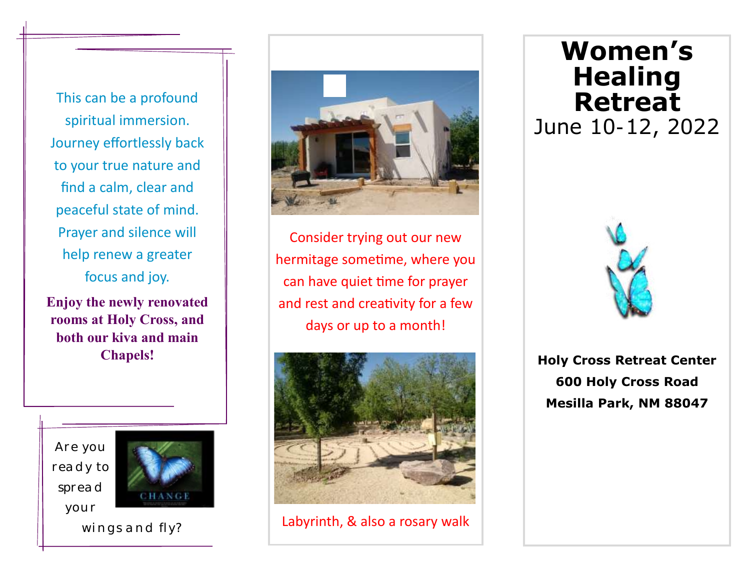This can be a profound spiritual immersion. Journey effortlessly back to your true nature and find a calm, clear and peaceful state of mind. Prayer and silence will help renew a greater focus and joy.

**Enjoy the newly renovated rooms at Holy Cross, and both our kiva and main Chapels!**

*Are you ready to spread your* 



*wings and fly?*



Consider trying out our new hermitage sometime, where you can have quiet time for prayer and rest and creativity for a few days or up to a month!



Labyrinth, & also a rosary walk

# **Women's Healing Retreat** June 10-12, 2022



**Holy Cross Retreat Center 600 Holy Cross Road Mesilla Park, NM 88047**